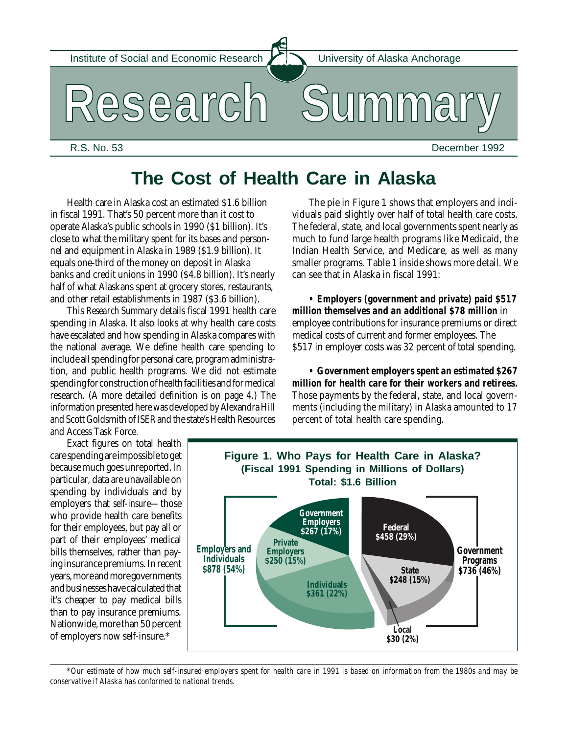Institute of Social and Economic Research **IN** University of Alaska Anchorage

**Research Summary**

R.S. No. 53 December 1992

# **The Cost of Health Care in Alaska**

Health care in Alaska cost an estimated \$1.6 billion in fiscal 1991. That's 50 percent more than it cost to operate Alaska's public schools in 1990 (\$1 billion). It's close to what the military spent for its bases and personnel and equipment in Alaska in 1989 (\$1.9 billion). It equals one-third of the money on deposit in Alaska banks and credit unions in 1990 (\$4.8 billion). It's nearly half of what Alaskans spent at grocery stores, restaurants, and other retail establishments in 1987 (\$3.6 billion).

This *Research Summary* details fiscal 1991 health care spending in Alaska. It also looks at why health care costs have escalated and how spending in Alaska compares with the national average. We define health care spending to include all spending for personal care, program administration, and public health programs. We did not estimate spending for construction of health facilities and for medical research. (A more detailed definition is on page 4.) The information presented here was developed by Alexandra Hill and Scott Goldsmith of ISER and the state's Health Resources and Access Task Force.

Exact figures on total health care spending are impossible to get because much goes unreported. In particular, data are unavailable on spending by individuals and by employers that *self-insure—*those who provide health care benefits for their employees, but pay all or part of their employees' medical bills themselves, rather than paying insurance premiums. In recent years, more and more governments and businesses have calculated that it's cheaper to pay medical bills than to pay insurance premiums. Nationwide, more than 50 percent of employers now self-insure.\*

The pie in Figure 1 shows that employers and individuals paid slightly over half of total health care costs. The federal, state, and local governments spent nearly as much to fund large health programs like Medicaid, the Indian Health Service, and Medicare, as well as many smaller programs. Table 1 inside shows more detail. We can see that in Alaska in fiscal 1991:

*• Employers (government and private) paid \$517 million themselves and an additional \$78 million* in employee contributions for insurance premiums or direct medical costs of current and former employees. The \$517 in employer costs was 32 percent of total spending.

*• Government employers spent an estimated \$267 million for health care for their workers and retirees.* Those payments by the federal, state, and local governments (including the military) in Alaska amounted to 17 percent of total health care spending.



*\*Our estimate of how much self-insured employers spent for health care in 1991 is based on information from the 1980s and may be conservative if Alaska has conformed to national trends.*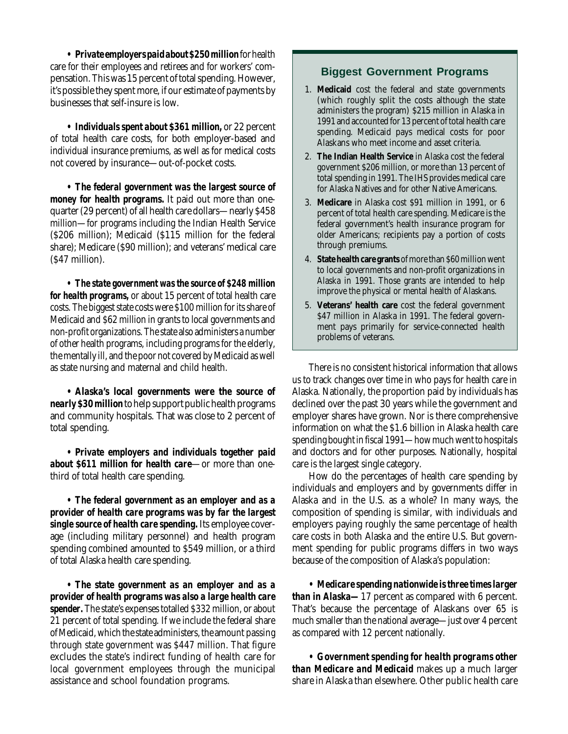*• Private employers paid about \$250 million* for health care for their employees and retirees and for workers' compensation. This was 15 percent of total spending. However, it's possible they spent more, if our estimate of payments by businesses that self-insure is low.

*• Individuals spent about \$361 million,* or 22 percent of total health care costs, for both employer-based and individual insurance premiums, as well as for medical costs not covered by insurance—out-of-pocket costs.

*• The federal government was the largest source of money for health programs.* It paid out more than onequarter (29 percent) of all health care dollars—nearly \$458 million—for programs including the Indian Health Service (\$206 million); Medicaid (\$115 million for the federal share); Medicare (\$90 million); and veterans' medical care (\$47 million).

*• The state government was the source of \$248 million for health programs,* or about 15 percent of total health care costs. The biggest state costs were \$100 million for its share of Medicaid and \$62 million in grants to local governments and non-profit organizations. The state also administers a number of other health programs, including programs for the elderly, the mentally ill, and the poor not covered by Medicaid as well as state nursing and maternal and child health.

*• Alaska's local governments were the source of nearly \$30 million*to help support public health programs and community hospitals. That was close to 2 percent of total spending.

*• Private employers and individuals together paid about \$611 million for health care*—or more than onethird of total health care spending.

*• The federal government as an employer and as a provider of health care programs was by far the largest single source of health care spending.* Its employee coverage (including military personnel) and health program spending combined amounted to \$549 million, or a third of total Alaska health care spending.

*• The state government as an employer and as a provider of health programs was also a large health care spender.* The state's expenses totalled \$332 million, or about 21 percent of total spending. If we include the federal share of Medicaid, which the state administers, the amount passing through state government was \$447 million. That figure excludes the state's indirect funding of health care for local government employees through the municipal assistance and school foundation programs.

## **Biggest Government Programs**

- 1. **Medicaid** cost the federal and state governments (which roughly split the costs although the state administers the program) \$215 million in Alaska in 1991 and accounted for 13 percent of total health care spending. Medicaid pays medical costs for poor Alaskans who meet income and asset criteria.
- 2. **The Indian Health Service** in Alaska cost the federal government \$206 million, or more than 13 percent of total spending in 1991. The IHS provides medical care for Alaska Natives and for other Native Americans.
- 3. **Medicare** in Alaska cost \$91 million in 1991, or 6 percent of total health care spending. Medicare is the federal government's health insurance program for older Americans; recipients pay a portion of costs through premiums.
- 4. **State health care grants** of more than \$60 million went to local governments and non-profit organizations in Alaska in 1991. Those grants are intended to help improve the physical or mental health of Alaskans.
- 5. **Veterans' health care** cost the federal government \$47 million in Alaska in 1991. The federal government pays primarily for service-connected health problems of veterans.

There is no consistent historical information that allows us to track changes over time in who pays for health care in Alaska. Nationally, the proportion paid by individuals has declined over the past 30 years while the government and employer shares have grown. Nor is there comprehensive information on what the \$1.6 billion in Alaska health care spending bought in fiscal 1991—how much went to hospitals and doctors and for other purposes. Nationally, hospital care is the largest single category.

How do the percentages of health care spending by individuals and employers and by governments differ in Alaska and in the U.S. as a whole? In many ways, the composition of spending is similar, with individuals and employers paying roughly the same percentage of health care costs in both Alaska and the entire U.S. But government spending for public programs differs in two ways because of the composition of Alaska's population:

*• Medicare spending nationwide is three times larger than in Alaska—*17 percent as compared with 6 percent. That's because the percentage of Alaskans over 65 is much smaller than the national average—just over 4 percent as compared with 12 percent nationally.

*• Government spending for health programs other than Medicare and Medicaid* makes up a much larger share in Alaska than elsewhere. Other public health care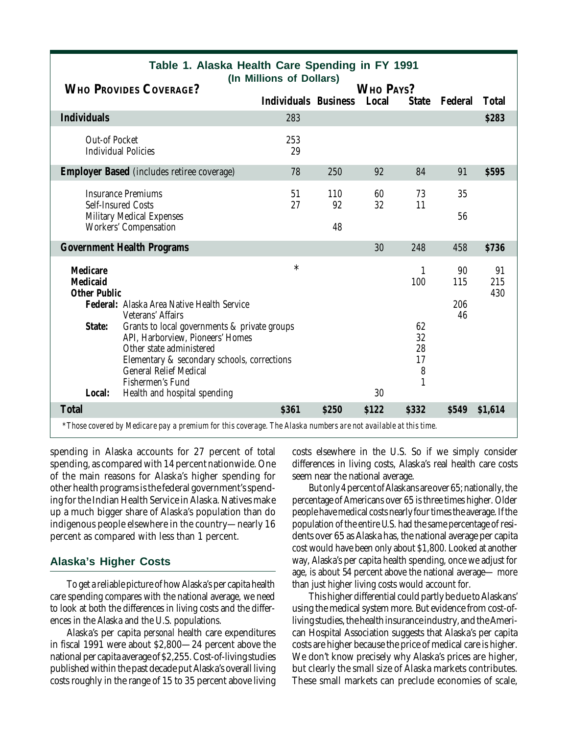| <b>WHO PROVIDES COVERAGE?</b>                                                                         |                                                                                                                                                                                                                                                  | (In Millions of Dollars)    |           | WHO PAYS? |                           |           |                  |  |
|-------------------------------------------------------------------------------------------------------|--------------------------------------------------------------------------------------------------------------------------------------------------------------------------------------------------------------------------------------------------|-----------------------------|-----------|-----------|---------------------------|-----------|------------------|--|
|                                                                                                       |                                                                                                                                                                                                                                                  | <b>Individuals Business</b> |           | Local     | <b>State</b>              | Federal   | <b>Total</b>     |  |
| <b>Individuals</b>                                                                                    |                                                                                                                                                                                                                                                  | 283                         |           |           |                           |           | \$283            |  |
| Out-of Pocket<br><b>Individual Policies</b>                                                           |                                                                                                                                                                                                                                                  | 253<br>29                   |           |           |                           |           |                  |  |
| <b>Employer Based</b> (includes retiree coverage)                                                     |                                                                                                                                                                                                                                                  | 78                          | 250       | 92        | 84                        | 91        | <b>\$595</b>     |  |
| <b>Insurance Premiums</b><br>Self-Insured Costs<br>Military Medical Expenses<br>Workers' Compensation |                                                                                                                                                                                                                                                  | 51<br>27                    | 110<br>92 | 60<br>32  | 73<br>11                  | 35        |                  |  |
|                                                                                                       |                                                                                                                                                                                                                                                  |                             | 48        |           |                           | 56        |                  |  |
| <b>Government Health Programs</b>                                                                     |                                                                                                                                                                                                                                                  |                             |           | 30        | 248                       | 458       | \$736            |  |
| <b>Medicare</b><br>Medicaid<br><b>Other Public</b>                                                    |                                                                                                                                                                                                                                                  | $\ast$                      |           |           | 100                       | 90<br>115 | 91<br>215<br>430 |  |
| Federal: Alaska Area Native Health Service<br>Veterans' Affairs                                       |                                                                                                                                                                                                                                                  |                             |           |           |                           | 206<br>46 |                  |  |
| State:<br>Local:                                                                                      | Grants to local governments & private groups<br>API, Harborview, Pioneers' Homes<br>Other state administered<br>Elementary & secondary schools, corrections<br><b>General Relief Medical</b><br>Fishermen's Fund<br>Health and hospital spending |                             |           | 30        | 62<br>32<br>28<br>17<br>8 |           |                  |  |
| <b>Total</b>                                                                                          |                                                                                                                                                                                                                                                  | \$361                       | \$250     | \$122     | \$332                     | \$549     | \$1,614          |  |
|                                                                                                       | *Those covered by Medicare pay a premium for this coverage. The Alaska numbers are not available at this time.                                                                                                                                   |                             |           |           |                           |           |                  |  |

**Table 1. Alaska Health Care Spending in FY 1991**

spending in Alaska accounts for 27 percent of total spending, as compared with 14 percent nationwide. One of the main reasons for Alaska's higher spending for other health programs is the federal government's spending for the Indian Health Service in Alaska. Natives make up a much bigger share of Alaska's population than do indigenous people elsewhere in the country—nearly 16 percent as compared with less than 1 percent.

#### **Alaska's Higher Costs**

To get a reliable picture of how Alaska's per capita health care spending compares with the national average, we need to look at both the differences in living costs and the differences in the Alaska and the U.S. populations.

Alaska's per capita *personal* health care expenditures in fiscal 1991 were about \$2,800—24 percent above the national per capita average of \$2,255. Cost-of-living studies published within the past decade put Alaska's overall living costs roughly in the range of 15 to 35 percent above living costs elsewhere in the U.S. So if we simply consider differences in living costs, Alaska's real health care costs seem near the national average.

But only 4 percent of Alaskans are over 65; nationally, the percentage of Americans over 65 is three times higher. Older people have medical costs nearly four times the average. If the population of the entire U.S. had the same percentage of residents over 65 as Alaska has, the national average per capita cost would have been only about \$1,800. Looked at another way, Alaska's per capita health spending, once we adjust for age, is about 54 percent above the national average— more than just higher living costs would account for.

This higher differential could partly be due to Alaskans' using the medical system more. But evidence from cost-ofliving studies, the health insurance industry, and the American Hospital Association suggests that Alaska's per capita costs are higher because the price of medical care is higher. We don't know precisely why Alaska's prices are higher, but clearly the small size of Alaska markets contributes. These small markets can preclude economies of scale,